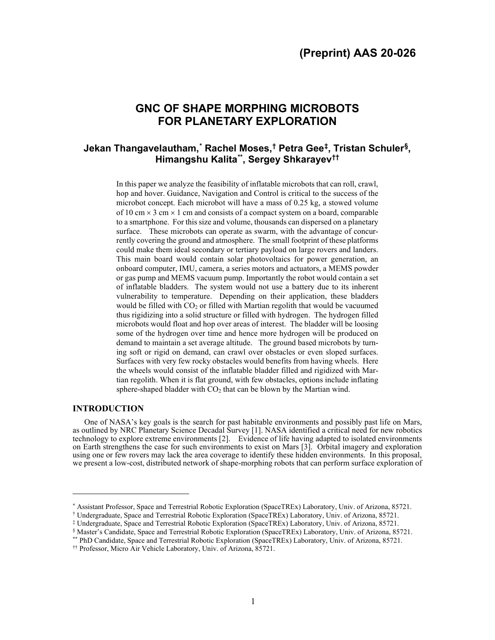# **GNC OF SHAPE MORPHING MICROBOTS FOR PLANETARY EXPLORATION**

## **Jekan Thangavelautham, [\\*](#page-0-0) Rachel Moses, [†](#page-0-1) Petra Gee[‡,](#page-0-2) Tristan Schuler[§,](#page-0-3) Himangshu Kalita[\\*\\*](#page-0-4), Sergey Shkarayev[††](#page-0-5)**

In this paper we analyze the feasibility of inflatable microbots that can roll, crawl, hop and hover. Guidance, Navigation and Control is critical to the success of the microbot concept. Each microbot will have a mass of 0.25 kg, a stowed volume of 10 cm  $\times$  3 cm  $\times$  1 cm and consists of a compact system on a board, comparable to a smartphone. For this size and volume, thousands can dispersed on a planetary surface. These microbots can operate as swarm, with the advantage of concurrently covering the ground and atmosphere. The small footprint of these platforms could make them ideal secondary or tertiary payload on large rovers and landers. This main board would contain solar photovoltaics for power generation, an onboard computer, IMU, camera, a series motors and actuators, a MEMS powder or gas pump and MEMS vacuum pump. Importantly the robot would contain a set of inflatable bladders. The system would not use a battery due to its inherent vulnerability to temperature. Depending on their application, these bladders would be filled with  $CO<sub>2</sub>$  or filled with Martian regolith that would be vacuumed thus rigidizing into a solid structure or filled with hydrogen. The hydrogen filled microbots would float and hop over areas of interest. The bladder will be loosing some of the hydrogen over time and hence more hydrogen will be produced on demand to maintain a set average altitude. The ground based microbots by turning soft or rigid on demand, can crawl over obstacles or even sloped surfaces. Surfaces with very few rocky obstacles would benefits from having wheels. Here the wheels would consist of the inflatable bladder filled and rigidized with Martian regolith. When it is flat ground, with few obstacles, options include inflating sphere-shaped bladder with  $CO<sub>2</sub>$  that can be blown by the Martian wind.

## **INTRODUCTION**

One of NASA's key goals is the search for past habitable environments and possibly past life on Mars, as outlined by NRC Planetary Science Decadal Survey [\[1\]](#page-9-0). NASA identified a critical need for new robotics technology to explore extreme environments [\[2\]](#page-9-1). Evidence of life having adapted to isolated environments on Earth strengthens the case for such environments to exist on Mars [\[3\]](#page-9-2). Orbital imagery and exploration using one or few rovers may lack the area coverage to identify these hidden environments. In this proposal, we present a low-cost, distributed network of shape-morphing robots that can perform surface exploration of

<sup>\*</sup> Assistant Professor, Space and Terrestrial Robotic Exploration (SpaceTREx) Laboratory, Univ. of Arizona, 85721.

<span id="page-0-1"></span><span id="page-0-0"></span><sup>†</sup> Undergraduate, Space and Terrestrial Robotic Exploration (SpaceTREx) Laboratory, Univ. of Arizona, 85721.

<span id="page-0-2"></span><sup>‡</sup> Undergraduate, Space and Terrestrial Robotic Exploration (SpaceTREx) Laboratory, Univ. of Arizona, 85721.

<span id="page-0-4"></span><span id="page-0-3"></span><sup>§</sup> Master's Candidate, Space and Terrestrial Robotic Exploration (SpaceTREx) Laboratory, Univ. of Arizona, 85721. \*\* PhD Candidate, Space and Terrestrial Robotic Exploration (SpaceTREx) Laboratory, Univ. of Arizona, 85721.

<span id="page-0-5"></span><sup>††</sup> Professor, Micro Air Vehicle Laboratory, Univ. of Arizona, 85721.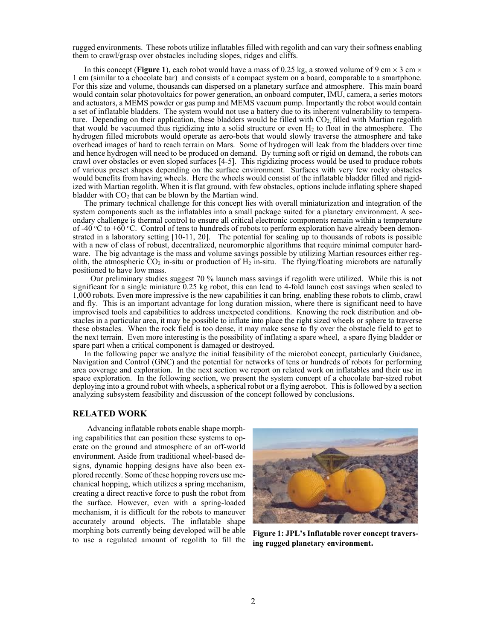rugged environments. These robots utilize inflatables filled with regolith and can vary their softness enabling them to crawl/grasp over obstacles including slopes, ridges and cliffs.

In this concept (**Figure 1**), each robot would have a mass of 0.25 kg, a stowed volume of 9 cm  $\times$  3 cm  $\times$ 1 cm (similar to a chocolate bar) and consists of a compact system on a board, comparable to a smartphone. For this size and volume, thousands can dispersed on a planetary surface and atmosphere. This main board would contain solar photovoltaics for power generation, an onboard computer, IMU, camera, a series motors and actuators, a MEMS powder or gas pump and MEMS vacuum pump. Importantly the robot would contain a set of inflatable bladders. The system would not use a battery due to its inherent vulnerability to temperature. Depending on their application, these bladders would be filled with CO<sub>2</sub>, filled with Martian regolith that would be vacuumed thus rigidizing into a solid structure or even  $H_2$  to float in the atmosphere. The hydrogen filled microbots would operate as aero-bots that would slowly traverse the atmosphere and take overhead images of hard to reach terrain on Mars. Some of hydrogen will leak from the bladders over time and hence hydrogen will need to be produced on demand. By turning soft or rigid on demand, the robots can crawl over obstacles or even sloped surfaces [\[4-](#page-9-3)[5\]](#page-9-4). This rigidizing process would be used to produce robots of various preset shapes depending on the surface environment. Surfaces with very few rocky obstacles would benefits from having wheels. Here the wheels would consist of the inflatable bladder filled and rigidized with Martian regolith. When it is flat ground, with few obstacles, options include inflating sphere shaped bladder with  $CO<sub>2</sub>$  that can be blown by the Martian wind.

The primary technical challenge for this concept lies with overall miniaturization and integration of the system components such as the inflatables into a small package suited for a planetary environment. A secondary challenge is thermal control to ensure all critical electronic components remain within a temperature of -40 °C to +60 °C. Control of tens to hundreds of robots to perform exploration have already been demonstrated in a laboratory setting [\[10-](#page-9-5)[11,](#page-9-6) 20]. The potential for scaling up to thousands of robots is possible with a new of class of robust, decentralized, neuromorphic algorithms that require minimal computer hardware. The big advantage is the mass and volume savings possible by utilizing Martian resources either regolith, the atmospheric  $CO_2$  in-situ or production of  $H_2$  in-situ. The flying/floating microbots are naturally positioned to have low mass.

 Our preliminary studies suggest 70 % launch mass savings if regolith were utilized. While this is not significant for a single miniature 0.25 kg robot, this can lead to 4-fold launch cost savings when scaled to 1,000 robots. Even more impressive is the new capabilities it can bring, enabling these robots to climb, crawl and fly. This is an important advantage for long duration mission, where there is significant need to have improvised tools and capabilities to address unexpected conditions. Knowing the rock distribution and obstacles in a particular area, it may be possible to inflate into place the right sized wheels or sphere to traverse these obstacles. When the rock field is too dense, it may make sense to fly over the obstacle field to get to the next terrain. Even more interesting is the possibility of inflating a spare wheel, a spare flying bladder or spare part when a critical component is damaged or destroyed.

In the following paper we analyze the initial feasibility of the microbot concept, particularly Guidance, Navigation and Control (GNC) and the potential for networks of tens or hundreds of robots for performing area coverage and exploration. In the next section we report on related work on inflatables and their use in space exploration. In the following section, we present the system concept of a chocolate bar-sized robot deploying into a ground robot with wheels, a spherical robot or a flying aerobot. This is followed by a section analyzing subsystem feasibility and discussion of the concept followed by conclusions.

### **RELATED WORK**

Advancing inflatable robots enable shape morphing capabilities that can position these systems to operate on the ground and atmosphere of an off-world environment. Aside from traditional wheel-based designs, dynamic hopping designs have also been explored recently. Some of these hopping rovers use mechanical hopping, which utilizes a spring mechanism, creating a direct reactive force to push the robot from the surface. However, even with a spring-loaded mechanism, it is difficult for the robots to maneuver accurately around objects. The inflatable shape morphing bots currently being developed will be able morphing bots currently being developed will be able Figure 1: JPL's Inflatable rover concept travers-<br>to use a regulated amount of regolith to fill the the meaned planetary environment.



**ing rugged planetary environment.**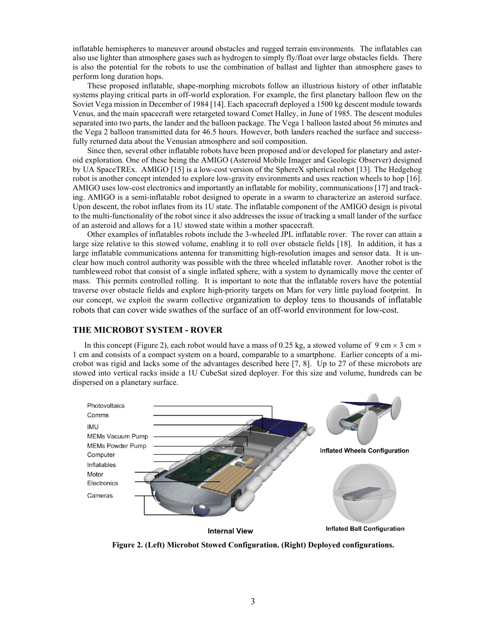inflatable hemispheres to maneuver around obstacles and rugged terrain environments. The inflatables can also use lighter than atmosphere gases such as hydrogen to simply fly/float over large obstacles fields. There is also the potential for the robots to use the combination of ballast and lighter than atmosphere gases to perform long duration hops.

These proposed inflatable, shape-morphing microbots follow an illustrious history of other inflatable systems playing critical parts in off-world exploration. For example, the first planetary balloon flew on the Soviet Vega mission in December of 1984 [14]. Each spacecraft deployed a 1500 kg descent module towards Venus, and the main spacecraft were retargeted toward Comet Halley, in June of 1985. The descent modules separated into two parts, the lander and the balloon package. The Vega 1 balloon lasted about 56 minutes and the Vega 2 balloon transmitted data for 46.5 hours. However, both landers reached the surface and successfully returned data about the Venusian atmosphere and soil composition.

Since then, several other inflatable robots have been proposed and/or developed for planetary and asteroid exploration. One of these being the AMIGO (Asteroid Mobile Imager and Geologic Observer) designed by UA SpaceTREx. AMIGO [15] is a low-cost version of the SphereX spherical robot [13]. The Hedgehog robot is another concept intended to explore low-gravity environments and uses reaction wheels to hop [16]. AMIGO uses low-cost electronics and importantly an inflatable for mobility, communications [17] and tracking. AMIGO is a semi-inflatable robot designed to operate in a swarm to characterize an asteroid surface. Upon descent, the robot inflates from its 1U state. The inflatable component of the AMIGO design is pivotal to the multi-functionality of the robot since it also addresses the issue of tracking a small lander of the surface of an asteroid and allows for a 1U stowed state within a mother spacecraft.

Other examples of inflatables robots include the 3-wheeled JPL inflatable rover. The rover can attain a large size relative to this stowed volume, enabling it to roll over obstacle fields [18]. In addition, it has a large inflatable communications antenna for transmitting high-resolution images and sensor data. It is unclear how much control authority was possible with the three wheeled inflatable rover. Another robot is the tumbleweed robot that consist of a single inflated sphere, with a system to dynamically move the center of mass. This permits controlled rolling. It is important to note that the inflatable rovers have the potential traverse over obstacle fields and explore high-priority targets on Mars for very little payload footprint. In our concept, we exploit the swarm collective organization to deploy tens to thousands of inflatable robots that can cover wide swathes of the surface of an off-world environment for low-cost.

## **THE MICROBOT SYSTEM - ROVER**

In this concept (Figure 2), each robot would have a mass of 0.25 kg, a stowed volume of 9 cm  $\times$  3 cm  $\times$ 1 cm and consists of a compact system on a board, comparable to a smartphone. Earlier concepts of a microbot was rigid and lacks some of the advantages described here [7, 8]. Up to 27 of these microbots are stowed into vertical racks inside a 1U CubeSat sized deployer. For this size and volume, hundreds can be dispersed on a planetary surface.



**Internal View** 

**Inflated Ball Configuration** 

**Figure 2. (Left) Microbot Stowed Configuration. (Right) Deployed configurations.**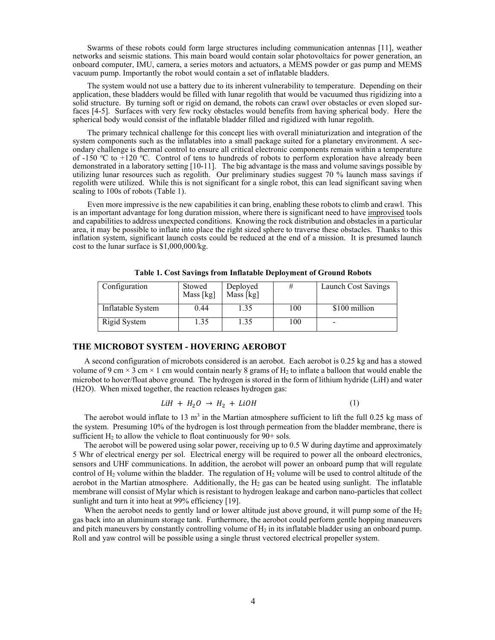Swarms of these robots could form large structures including communication antennas [11], weather networks and seismic stations. This main board would contain solar photovoltaics for power generation, an onboard computer, IMU, camera, a series motors and actuators, a MEMS powder or gas pump and MEMS vacuum pump. Importantly the robot would contain a set of inflatable bladders.

The system would not use a battery due to its inherent vulnerability to temperature. Depending on their application, these bladders would be filled with lunar regolith that would be vacuumed thus rigidizing into a solid structure. By turning soft or rigid on demand, the robots can crawl over obstacles or even sloped surfaces [\[4](#page-9-3)[-5\]](#page-9-4). Surfaces with very few rocky obstacles would benefits from having spherical body. Here the spherical body would consist of the inflatable bladder filled and rigidized with lunar regolith.

The primary technical challenge for this concept lies with overall miniaturization and integration of the system components such as the inflatables into a small package suited for a planetary environment. A secondary challenge is thermal control to ensure all critical electronic components remain within a temperature of -150 °C to  $+120$  °C. Control of tens to hundreds of robots to perform exploration have already been demonstrated in a laboratory setting [\[10-](#page-9-5)[11\]](#page-9-6). The big advantage is the mass and volume savings possible by utilizing lunar resources such as regolith. Our preliminary studies suggest 70 % launch mass savings if regolith were utilized. While this is not significant for a single robot, this can lead significant saving when scaling to 100s of robots (Table 1).

Even more impressive is the new capabilities it can bring, enabling these robots to climb and crawl. This is an important advantage for long duration mission, where there is significant need to have improvised tools and capabilities to address unexpected conditions. Knowing the rock distribution and obstacles in a particular area, it may be possible to inflate into place the right sized sphere to traverse these obstacles. Thanks to this inflation system, significant launch costs could be reduced at the end of a mission. It is presumed launch cost to the lunar surface is \$1,000,000/kg.

| Configuration     | Stowed<br>Mass [kg] | Deployed<br>Mass [kg] | #   | Launch Cost Savings |
|-------------------|---------------------|-----------------------|-----|---------------------|
| Inflatable System | 0.44                | 1.35                  | 100 | \$100 million       |
| Rigid System      | $\overline{.}35$    | 1.35                  | 100 | -                   |

**Table 1. Cost Savings from Inflatable Deployment of Ground Robots**

## **THE MICROBOT SYSTEM - HOVERING AEROBOT**

A second configuration of microbots considered is an aerobot. Each aerobot is 0.25 kg and has a stowed volume of 9 cm  $\times$  3 cm  $\times$  1 cm would contain nearly 8 grams of H<sub>2</sub> to inflate a balloon that would enable the microbot to hover/float above ground. The hydrogen is stored in the form of lithium hydride (LiH) and water (H2O). When mixed together, the reaction releases hydrogen gas:

$$
LiH + H_2O \rightarrow H_2 + LiOH \tag{1}
$$

The aerobot would inflate to 13  $m<sup>3</sup>$  in the Martian atmosphere sufficient to lift the full 0.25 kg mass of the system. Presuming 10% of the hydrogen is lost through permeation from the bladder membrane, there is sufficient  $H_2$  to allow the vehicle to float continuously for  $90+$  sols.

The aerobot will be powered using solar power, receiving up to 0.5 W during daytime and approximately 5 Whr of electrical energy per sol. Electrical energy will be required to power all the onboard electronics, sensors and UHF communications. In addition, the aerobot will power an onboard pump that will regulate control of  $H_2$  volume within the bladder. The regulation of  $H_2$  volume will be used to control altitude of the aerobot in the Martian atmosphere. Additionally, the  $H_2$  gas can be heated using sunlight. The inflatable membrane will consist of Mylar which is resistant to hydrogen leakage and carbon nano-particles that collect sunlight and turn it into heat at 99% efficiency [19].

When the aerobot needs to gently land or lower altitude just above ground, it will pump some of the  $H_2$ gas back into an aluminum storage tank. Furthermore, the aerobot could perform gentle hopping maneuvers and pitch maneuvers by constantly controlling volume of  $H_2$  in its inflatable bladder using an onboard pump. Roll and yaw control will be possible using a single thrust vectored electrical propeller system.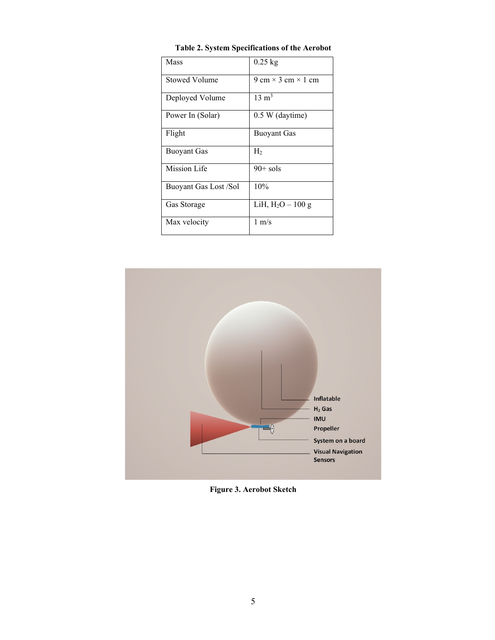| Mass                  | $0.25$ kg                        |  |  |
|-----------------------|----------------------------------|--|--|
| <b>Stowed Volume</b>  | 9 cm $\times$ 3 cm $\times$ 1 cm |  |  |
| Deployed Volume       | $13 \text{ m}^3$                 |  |  |
| Power In (Solar)      | 0.5 W (daytime)                  |  |  |
| Flight                | <b>Buoyant Gas</b>               |  |  |
| <b>Buoyant Gas</b>    | H <sub>2</sub>                   |  |  |
| <b>Mission Life</b>   | $90+$ sols                       |  |  |
| Buoyant Gas Lost /Sol | 10%                              |  |  |
| Gas Storage           | LiH, $H_2O - 100 g$              |  |  |
| Max velocity          | $1 \text{ m/s}$                  |  |  |

**Table 2. System Specifications of the Aerobot**



**Figure 3. Aerobot Sketch**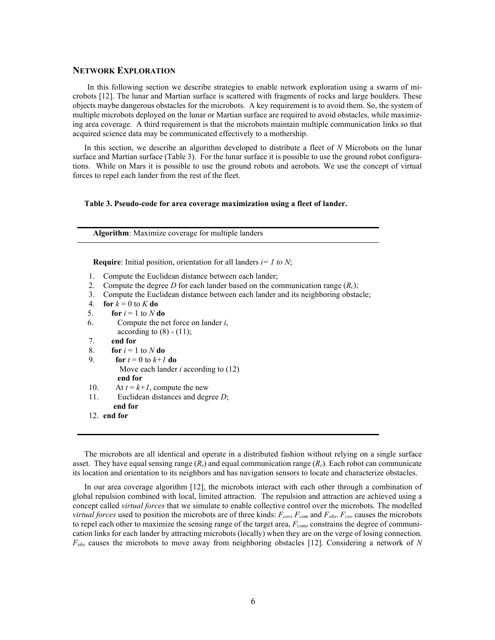#### **NETWORK EXPLORATION**

In this following section we describe strategies to enable network exploration using a swarm of microbots [12]. The lunar and Martian surface is scattered with fragments of rocks and large boulders. These objects maybe dangerous obstacles for the microbots. A key requirement is to avoid them. So, the system of multiple microbots deployed on the lunar or Martian surface are required to avoid obstacles, while maximizing area coverage. A third requirement is that the microbots maintain multiple communication links so that acquired science data may be communicated effectively to a mothership.

In this section, we describe an algorithm developed to distribute a fleet of *N* Microbots on the lunar surface and Martian surface (Table 3). For the lunar surface it is possible to use the ground robot configurations. While on Mars it is possible to use the ground robots and aerobots. We use the concept of virtual forces to repel each lander from the rest of the fleet.

#### **Table 3. Pseudo-code for area coverage maximization using a fleet of lander.**

**Algorithm**: Maximize coverage for multiple landers

**Require**: Initial position, orientation for all landers *i= 1 to N*;

- 1. Compute the Euclidean distance between each lander;
- 2. Compute the degree *D* for each lander based on the communication range  $(R<sub>c</sub>)$ ;
- 3. Compute the Euclidean distance between each lander and its neighboring obstacle;
- 4. **for**  $k = 0$  to  $K$  **do**
- 5. **for**  $i = 1$  to  $N$  do
- 6. Compute the net force on lander *i*, according to  $(8) - (11)$ ;
- 7. **end for**
- 8. **for**  $i = 1$  to  $N$  **do**
- 9. **for**  $t = 0$  to  $k+1$  **do**  Move each lander *i* according to (12)  **end for**
- 10. At  $t = k+1$ , compute the new
- 11. Euclidean distances and degree *D*;  **end for**
- 12. **end for**

The microbots are all identical and operate in a distributed fashion without relying on a single surface asset. They have equal sensing range  $(R_s)$  and equal communication range  $(R_c)$ . Each robot can communicate its location and orientation to its neighbors and has navigation sensors to locate and characterize obstacles.

In our area coverage algorithm [12], the microbots interact with each other through a combination of global repulsion combined with local, limited attraction. The repulsion and attraction are achieved using a concept called *virtual forces* that we simulate to enable collective control over the microbots. The modelled *virtual forces* used to position the microbots are of three kinds:  $F_{cov}$ ,  $F_{com}$  and  $F_{obs}$ .  $F_{cov}$  causes the microbots to repel each other to maximize the sensing range of the target area, *Fcoms* constrains the degree of communication links for each lander by attracting microbots (locally) when they are on the verge of losing connection. *Fobs* causes the microbots to move away from neighboring obstacles [12]. Considering a network of *N*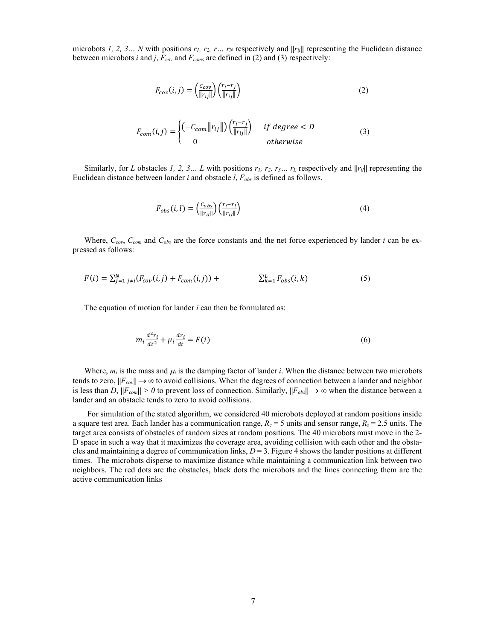microbots 1, 2, 3… N with positions  $r_1$ ,  $r_2$ ,  $r_3$ ,  $r_4$ , respectively and  $||r_{ij}||$  representing the Euclidean distance between microbots *i* and *j*,  $F_{cov}$  and  $F_{coms}$  are defined in (2) and (3) respectively:

$$
F_{cov}(i,j) = \left(\frac{c_{cov}}{\|r_{ij}\|}\right) \left(\frac{r_i - r_j}{\|r_{ij}\|}\right) \tag{2}
$$

$$
F_{com}(i,j) = \begin{cases} \left(-C_{com} ||r_{ij}||\right) \left(\frac{r_i - r_j}{||r_{ij}||}\right) & \text{if degree} < D\\ 0 & \text{otherwise} \end{cases} \tag{3}
$$

Similarly, for *L* obstacles *1, 2, 3… L* with positions *r1, r2, r3… rL* respectively and **||***ril***||** representing the Euclidean distance between lander *i* and obstacle *l*, *Fobs* is defined as follows.

$$
F_{obs}(i,l) = \left(\frac{c_{obs}}{\|r_{il}\|}\right) \left(\frac{r_i - r_l}{\|r_{il}\|}\right) \tag{4}
$$

Where, *Ccov*, *Ccom* and *Cobs* are the force constants and the net force experienced by lander *i* can be expressed as follows:

$$
F(i) = \sum_{j=1, j \neq i}^{N} (F_{cov}(i, j) + F_{com}(i, j)) + \sum_{k=1}^{L} F_{obs}(i, k)
$$
 (5)

The equation of motion for lander *i* can then be formulated as:

$$
m_i \frac{d^2 r_i}{dt^2} + \mu_i \frac{dr_i}{dt} = F(i)
$$
\n<sup>(6)</sup>

Where,  $m_i$  is the mass and  $\mu_i$  is the damping factor of lander *i*. When the distance between two microbots tends to zero,  $||F_{cov}|| \rightarrow \infty$  to avoid collisions. When the degrees of connection between a lander and neighbor is less than *D*,  $||F_{com}|| > 0$  to prevent loss of connection. Similarly,  $||F_{obs}|| \to \infty$  when the distance between a lander and an obstacle tends to zero to avoid collisions.

For simulation of the stated algorithm, we considered 40 microbots deployed at random positions inside a square test area. Each lander has a communication range,  $R_c = 5$  units and sensor range,  $R_s = 2.5$  units. The target area consists of obstacles of random sizes at random positions. The 40 microbots must move in the 2- D space in such a way that it maximizes the coverage area, avoiding collision with each other and the obstacles and maintaining a degree of communication links, *D* = 3. Figure 4 shows the lander positions at different times. The microbots disperse to maximize distance while maintaining a communication link between two neighbors. The red dots are the obstacles, black dots the microbots and the lines connecting them are the active communication links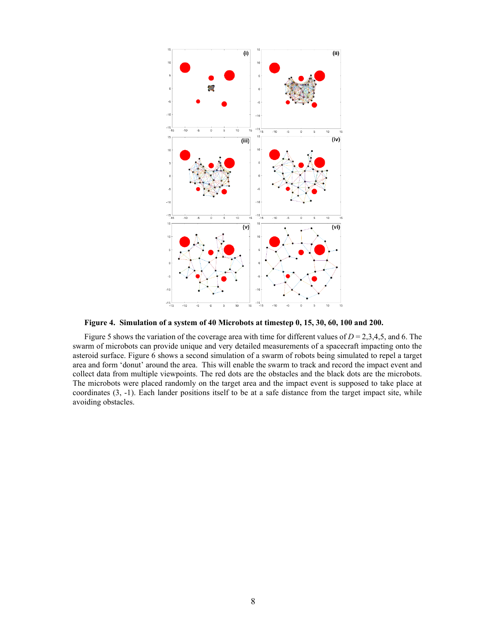

**Figure 4. Simulation of a system of 40 Microbots at timestep 0, 15, 30, 60, 100 and 200.**

Figure 5 shows the variation of the coverage area with time for different values of  $D = 2,3,4,5$ , and 6. The swarm of microbots can provide unique and very detailed measurements of a spacecraft impacting onto the asteroid surface. Figure 6 shows a second simulation of a swarm of robots being simulated to repel a target area and form 'donut' around the area. This will enable the swarm to track and record the impact event and collect data from multiple viewpoints. The red dots are the obstacles and the black dots are the microbots. The microbots were placed randomly on the target area and the impact event is supposed to take place at coordinates (3, -1). Each lander positions itself to be at a safe distance from the target impact site, while avoiding obstacles.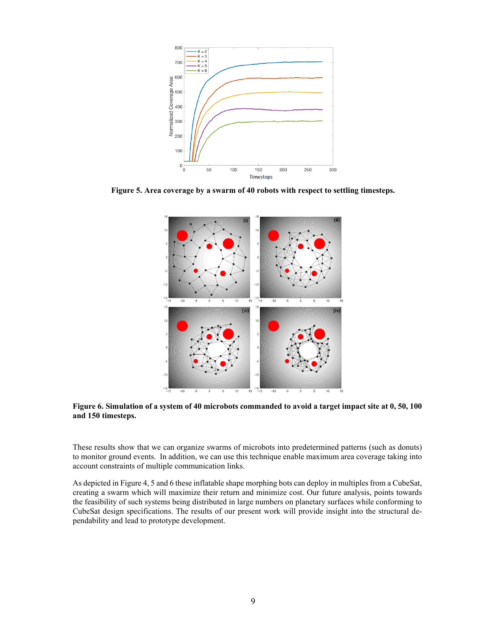

**Figure 5. Area coverage by a swarm of 40 robots with respect to settling timesteps.**



**Figure 6. Simulation of a system of 40 microbots commanded to avoid a target impact site at 0, 50, 100 and 150 timesteps.**

These results show that we can organize swarms of microbots into predetermined patterns (such as donuts) to monitor ground events. In addition, we can use this technique enable maximum area coverage taking into account constraints of multiple communication links.

As depicted in Figure 4, 5 and 6 these inflatable shape morphing bots can deploy in multiples from a CubeSat, creating a swarm which will maximize their return and minimize cost. Our future analysis, points towards the feasibility of such systems being distributed in large numbers on planetary surfaces while conforming to CubeSat design specifications. The results of our present work will provide insight into the structural dependability and lead to prototype development.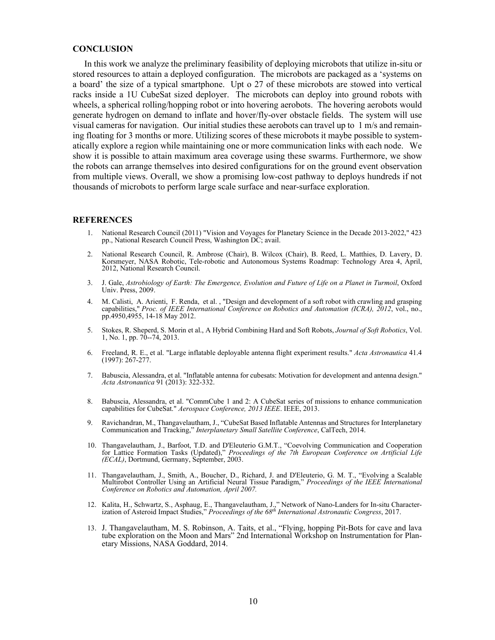## **CONCLUSION**

In this work we analyze the preliminary feasibility of deploying microbots that utilize in-situ or stored resources to attain a deployed configuration. The microbots are packaged as a 'systems on a board' the size of a typical smartphone. Upt o 27 of these microbots are stowed into vertical racks inside a 1U CubeSat sized deployer. The microbots can deploy into ground robots with wheels, a spherical rolling/hopping robot or into hovering aerobots. The hovering aerobots would generate hydrogen on demand to inflate and hover/fly-over obstacle fields. The system will use visual cameras for navigation. Our initial studies these aerobots can travel up to  $1 \text{ m/s}$  and remaining floating for 3 months or more. Utilizing scores of these microbots it maybe possible to systematically explore a region while maintaining one or more communication links with each node. We show it is possible to attain maximum area coverage using these swarms. Furthermore, we show the robots can arrange themselves into desired configurations for on the ground event observation from multiple views. Overall, we show a promising low-cost pathway to deploys hundreds if not thousands of microbots to perform large scale surface and near-surface exploration.

#### <span id="page-9-0"></span>**REFERENCES**

- 1. National Research Council (2011) "Vision and Voyages for Planetary Science in the Decade 2013-2022," 423 pp., National Research Council Press, Washington DC; avail.
- <span id="page-9-1"></span>2. National Research Council, R. Ambrose (Chair), B. Wilcox (Chair), B. Reed, L. Matthies, D. Lavery, D. Korsmeyer, NASA Robotic, Tele-robotic and Autonomous Systems Roadmap: Technology Area 4, April, 2012, National Research Council.
- <span id="page-9-2"></span>3. J. Gale, *Astrobiology of Earth: The Emergence, Evolution and Future of Life on a Planet in Turmoil*, Oxford Univ. Press, 2009.
- <span id="page-9-3"></span>4. M. Calisti, A. Arienti, F. Renda, et al. , "Design and development of a soft robot with crawling and grasping capabilities," *Proc. of IEEE International Conference on Robotics and Automation (ICRA), 2012*, vol., no., pp.4950,4955, 14-18 May 2012.
- <span id="page-9-4"></span>5. Stokes, R. Sheperd, S. Morin et al., A Hybrid Combining Hard and Soft Robots, *Journal of Soft Robotics*, Vol. 1, No. 1, pp. 70--74, 2013.
- 6. Freeland, R. E., et al. "Large inflatable deployable antenna flight experiment results." *Acta Astronautica* 41.4 (1997): 267-277.
- 7. Babuscia, Alessandra, et al. "Inflatable antenna for cubesats: Motivation for development and antenna design." *Acta Astronautica* 91 (2013): 322-332.
- 8. Babuscia, Alessandra, et al. "CommCube 1 and 2: A CubeSat series of missions to enhance communication capabilities for CubeSat." *Aerospace Conference, 2013 IEEE*. IEEE, 2013.
- 9. Ravichandran, M., Thangavelautham, J., "CubeSat Based Inflatable Antennas and Structures for Interplanetary Communication and Tracking," *Interplanetary Small Satellite Conference*, CalTech, 2014.
- <span id="page-9-5"></span>10. Thangavelautham, J., Barfoot, T.D. and D'Eleuterio G.M.T., "Coevolving Communication and Cooperation for Lattice Formation Tasks (Updated)," *Proceedings of the 7th European Conference on Artificial Life (ECAL)*, Dortmund, Germany, September, 2003.
- <span id="page-9-6"></span>11. Thangavelautham, J., Smith, A., Boucher, D., Richard, J. and D'Eleuterio, G. M. T., "Evolving a Scalable Multirobot Controller Using an Artificial Neural Tissue Paradigm," *Proceedings of the IEEE International Conference on Robotics and Automation, April 2007.*
- 12. Kalita, H., Schwartz, S., Asphaug, E., Thangavelautham, J.," Network of Nano-Landers for In-situ Characterization of Asteroid Impact Studies," *Proceedings of the 68th International Astronautic Congress*, 2017.
- 13. J. Thangavelautham, M. S. Robinson, A. Taits, et al., "Flying, hopping Pit-Bots for cave and lava tube exploration on the Moon and Mars" 2nd International Workshop on Instrumentation for Planetary Missions, NASA Goddard, 2014.